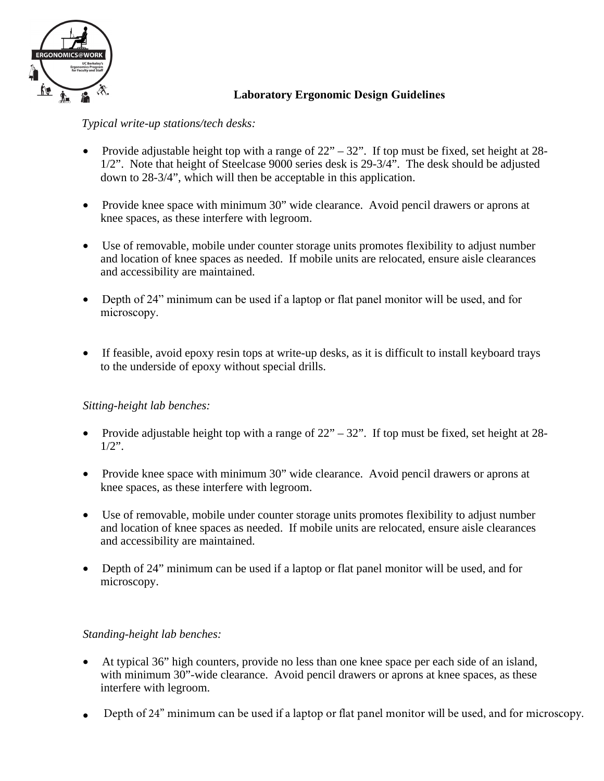

# **Laboratory Ergonomic Design Guidelines**

*Typical write-up stations/tech desks:*

- Provide adjustable height top with a range of  $22^{\prime\prime} 32^{\prime\prime}$ . If top must be fixed, set height at 28-1/2". Note that height of Steelcase 9000 series desk is 29-3/4". The desk should be adjusted down to 28-3/4", which will then be acceptable in this application.
- Provide knee space with minimum 30" wide clearance. Avoid pencil drawers or aprons at knee spaces, as these interfere with legroom.
- Use of removable, mobile under counter storage units promotes flexibility to adjust number and location of knee spaces as needed. If mobile units are relocated, ensure aisle clearances and accessibility are maintained.
- Depth of 24" minimum can be used if a laptop or flat panel monitor will be used, and for microscopy.
- If feasible, avoid epoxy resin tops at write-up desks, as it is difficult to install keyboard trays to the underside of epoxy without special drills.

## *Sitting-height lab benches:*

- Provide adjustable height top with a range of  $22 32$ ". If top must be fixed, set height at 28- $1/2$ ".
- Provide knee space with minimum 30" wide clearance. Avoid pencil drawers or aprons at knee spaces, as these interfere with legroom.
- Use of removable, mobile under counter storage units promotes flexibility to adjust number and location of knee spaces as needed. If mobile units are relocated, ensure aisle clearances and accessibility are maintained.
- Depth of 24" minimum can be used if a laptop or flat panel monitor will be used, and for microscopy.

## *Standing-height lab benches:*

- At typical 36" high counters, provide no less than one knee space per each side of an island, with minimum 30"-wide clearance. Avoid pencil drawers or aprons at knee spaces, as these interfere with legroom.
- Depth of 24" minimum can be used if a laptop or flat panel monitor will be used, and for microscopy.